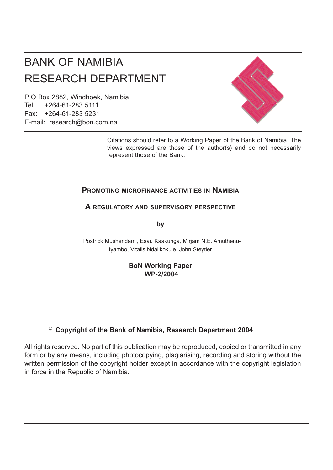# BANK OF NAMIBIA RESEARCH DEPARTMENT

P O Box 2882, Windhoek, Namibia Tel: +264-61-283 5111 Fax: +264-61-283 5231 E-mail: research@bon.com.na



Citations should refer to a Working Paper of the Bank of Namibia. The views expressed are those of the author(s) and do not necessarily represent those of the Bank.

## **PROMOTING MICROFINANCE ACTIVITIES IN NAMIBIA**

## **A REGULATORY AND SUPERVISORY PERSPECTIVE**

**by**

Postrick Mushendami, Esau Kaakunga, Mirjam N.E. Amuthenu-Iyambo, Vitalis Ndalikokule, John Steytler

## **BoN Working Paper WP-2/2004**

## © **Copyright of the Bank of Namibia, Research Department 2004**

All rights reserved. No part of this publication may be reproduced, copied or transmitted in any form or by any means, including photocopying, plagiarising, recording and storing without the written permission of the copyright holder except in accordance with the copyright legislation in force in the Republic of Namibia.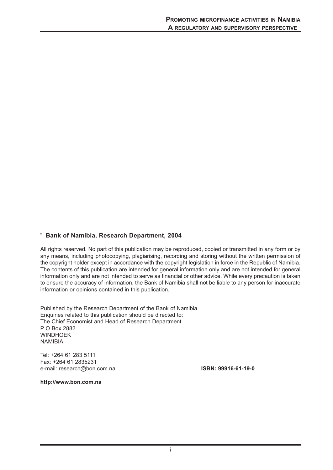#### **' Bank of Namibia, Research Department, 2004**

All rights reserved. No part of this publication may be reproduced, copied or transmitted in any form or by any means, including photocopying, plagiarising, recording and storing without the written permission of the copyright holder except in accordance with the copyright legislation in force in the Republic of Namibia. The contents of this publication are intended for general information only and are not intended for general information only and are not intended to serve as financial or other advice. While every precaution is taken to ensure the accuracy of information, the Bank of Namibia shall not be liable to any person for inaccurate information or opinions contained in this publication.

Published by the Research Department of the Bank of Namibia Enquiries related to this publication should be directed to: The Chief Economist and Head of Research Department P O Box 2882 **WINDHOFK** NAMIBIA

Tel: +264 61 283 5111 Fax: +264 61 2835231 e-mail: research@bon.com.na **ISBN: 99916-61-19-0**

**http://www.bon.com.na**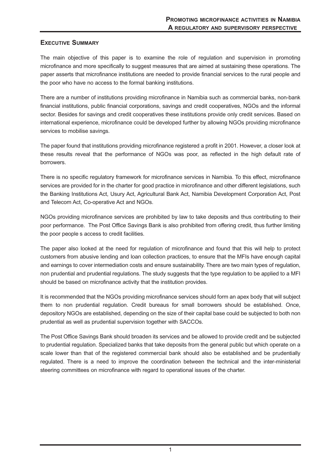## **EXECUTIVE SUMMARY**

The main objective of this paper is to examine the role of regulation and supervision in promoting microfinance and more specifically to suggest measures that are aimed at sustaining these operations. The paper asserts that microfinance institutions are needed to provide financial services to the rural people and the poor who have no access to the formal banking institutions.

There are a number of institutions providing microfinance in Namibia such as commercial banks, non-bank financial institutions, public financial corporations, savings and credit cooperatives, NGOs and the informal sector. Besides for savings and credit cooperatives these institutions provide only credit services. Based on international experience, microfinance could be developed further by allowing NGOs providing microfinance services to mobilise savings.

The paper found that institutions providing microfinance registered a profit in 2001. However, a closer look at these results reveal that the performance of NGOs was poor, as reflected in the high default rate of borrowers.

There is no specific regulatory framework for microfinance services in Namibia. To this effect, microfinance services are provided for in the charter for good practice in microfinance and other different legislations, such the Banking Institutions Act, Usury Act, Agricultural Bank Act, Namibia Development Corporation Act, Post and Telecom Act, Co-operative Act and NGOs.

NGOs providing microfinance services are prohibited by law to take deposits and thus contributing to their poor performance. The Post Office Savings Bank is also prohibited from offering credit, thus further limiting the poor people s access to credit facilities.

The paper also looked at the need for regulation of microfinance and found that this will help to protect customers from abusive lending and loan collection practices, to ensure that the MFIs have enough capital and earnings to cover intermediation costs and ensure sustainability. There are two main types of regulation, non prudential and prudential regulations. The study suggests that the type regulation to be applied to a MFI should be based on microfinance activity that the institution provides.

It is recommended that the NGOs providing microfinance services should form an apex body that will subject them to non prudential regulation. Credit bureaus for small borrowers should be established. Once, depository NGOs are established, depending on the size of their capital base could be subjected to both non prudential as well as prudential supervision together with SACCOs.

The Post Office Savings Bank should broaden its services and be allowed to provide credit and be subjected to prudential regulation. Specialized banks that take deposits from the general public but which operate on a scale lower than that of the registered commercial bank should also be established and be prudentially regulated. There is a need to improve the coordination between the technical and the inter-ministerial steering committees on microfinance with regard to operational issues of the charter.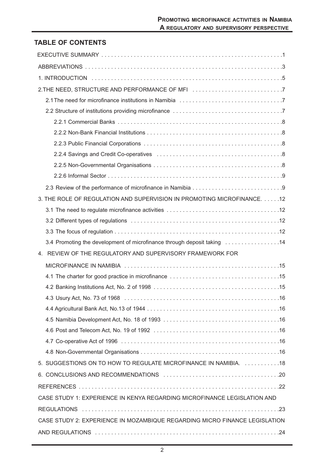## **TABLE OF CONTENTS**

| 2. THE NEED, STRUCTURE AND PERFORMANCE OF MFI 7                            |
|----------------------------------------------------------------------------|
|                                                                            |
|                                                                            |
|                                                                            |
|                                                                            |
|                                                                            |
|                                                                            |
|                                                                            |
|                                                                            |
|                                                                            |
| 3. THE ROLE OF REGULATION AND SUPERVISION IN PROMOTING MICROFINANCE. 12    |
|                                                                            |
|                                                                            |
|                                                                            |
| 3.4 Promoting the development of microfinance through deposit taking  14   |
| 4. REVIEW OF THE REGULATORY AND SUPERVISORY FRAMEWORK FOR                  |
|                                                                            |
|                                                                            |
|                                                                            |
|                                                                            |
|                                                                            |
|                                                                            |
|                                                                            |
|                                                                            |
|                                                                            |
| 5. SUGGESTIONS ON TO HOW TO REGULATE MICROFINANCE IN NAMIBIA. 18           |
|                                                                            |
|                                                                            |
| CASE STUDY 1: EXPERIENCE IN KENYA REGARDING MICROFINANCE LEGISLATION AND   |
|                                                                            |
| CASE STUDY 2: EXPERIENCE IN MOZAMBIQUE REGARDING MICRO FINANCE LEGISLATION |
|                                                                            |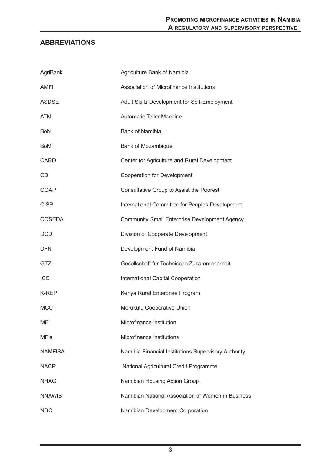## **ABBREVIATIONS**

| AgriBank       | Agriculture Bank of Namibia                          |
|----------------|------------------------------------------------------|
| AMFI           | Association of Microfinance Institutions             |
| <b>ASDSE</b>   | Adult Skills Development for Self-Employment         |
| <b>ATM</b>     | <b>Automatic Teller Machine</b>                      |
| <b>BoN</b>     | <b>Bank of Namibia</b>                               |
| <b>BoM</b>     | Bank of Mozambique                                   |
| <b>CARD</b>    | Center for Agriculture and Rural Development         |
| CD             | Cooperation for Development                          |
| <b>CGAP</b>    | Consultative Group to Assist the Poorest             |
| <b>CISP</b>    | International Committee for Peoples Development      |
| <b>COSEDA</b>  | <b>Community Small Enterprise Development Agency</b> |
| <b>DCD</b>     | Division of Cooperate Development                    |
| <b>DFN</b>     | Development Fund of Namibia                          |
| GTZ            | Gesellschaft fur Technische Zusammenarbeit           |
| ICC            | International Capital Cooperation                    |
| K-REP          | Kenya Rural Enterprise Program                       |
| <b>MCU</b>     | Morukutu Cooperative Union                           |
| <b>MFI</b>     | Microfinance institution                             |
| <b>MFIs</b>    | Microfinance institutions                            |
| <b>NAMFISA</b> | Namibia Financial Institutions Supervisory Authority |
| <b>NACP</b>    | National Agricultural Credit Programme               |
| <b>NHAG</b>    | Namibian Housing Action Group                        |
| <b>NNAWIB</b>  | Namibian National Association of Women in Business   |
| <b>NDC</b>     | Namibian Development Corporation                     |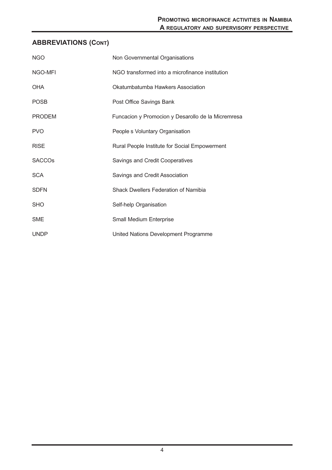## **ABBREVIATIONS (CONT)**

| <b>NGO</b>               | Non Governmental Organisations                     |
|--------------------------|----------------------------------------------------|
| NGO-MFI                  | NGO transformed into a microfinance institution    |
| <b>OHA</b>               | Okatumbatumba Hawkers Association                  |
| <b>POSB</b>              | Post Office Savings Bank                           |
| <b>PRODEM</b>            | Funcacion y Promocion y Desarollo de la Micremresa |
| <b>PVO</b>               | People s Voluntary Organisation                    |
| <b>RISE</b>              | Rural People Institute for Social Empowerment      |
| <b>SACCO<sub>s</sub></b> | Savings and Credit Cooperatives                    |
| <b>SCA</b>               | Savings and Credit Association                     |
| <b>SDFN</b>              | <b>Shack Dwellers Federation of Namibia</b>        |
| <b>SHO</b>               | Self-help Organisation                             |
| <b>SME</b>               | Small Medium Enterprise                            |
| <b>UNDP</b>              | United Nations Development Programme               |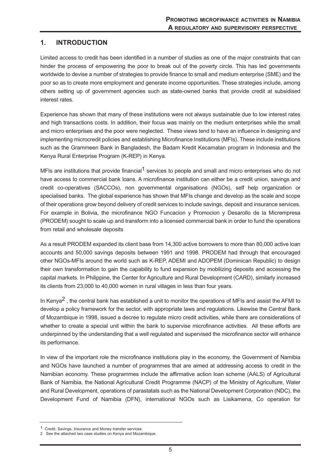## **1. INTRODUCTION**

Limited access to credit has been identified in a number of studies as one of the major constraints that can hinder the process of empowering the poor to break out of the poverty circle. This has led governments worldwide to devise a number of strategies to provide finance to small and medium enterprise (SME) and the poor so as to create more employment and generate income opportunities. These strategies include, among others setting up of government agencies such as state-owned banks that provide credit at subsidised interest rates.

Experience has shown that many of these institutions were not always sustainable due to low interest rates and high transactions costs. In addition, their focus was mainly on the medium enterprises while the small and micro enterprises and the poor were neglected. These views tend to have an influence in designing and implementing microcredit policies and establishing Microfinance Institutions (MFIs). These include institutions such as the Grammeen Bank in Bangladesh, the Badam Kredit Kecamatan program in Indonesia and the Kenya Rural Enterprise Program (K-REP) in Kenya.

MFIs are institutions that provide financial<sup>1</sup> services to people and small and micro enterprises who do not have access to commercial bank loans. A microfinance institution can either be a credit union, savings and credit co-operatives (SACCOs), non governmental organisations (NGOs), self help organization or specialised banks. The global experience has shown that MFIs change and develop as the scale and scope of their operations grow beyond delivery of credit services to include savings, deposit and insurance services. For example in Bolivia, the microfinance NGO Funcacion y Promocion y Desarollo de la Micrempresa (PRODEM) sought to scale up and transform into a licensed commercial bank in order to fund the operations from retail and wholesale deposits

As a result PRODEM expanded its client base from 14,300 active borrowers to more than 80,000 active loan accounts and 50,000 savings deposits between 1991 and 1998. PRODEM had through that encouraged other NGOs-MFIs around the world such as K-REP, ADEMI and ADOPEM (Dominican Republic) to design their own transformation to gain the capability to fund expansion by mobilizing deposits and accessing the capital markets. In Philippine, the Center for Agriculture and Rural Development (CARD), similarly increased its clients from 23,000 to 40,000 women in rural villages in less than four years.

In Kenya<sup>2</sup>, the central bank has established a unit to monitor the operations of MFIs and assist the AFMI to develop a policy framework for the sector, with appropriate laws and regulations. Likewise the Central Bank of Mozambique in 1998, issued a decree to regulate micro credit activities, while there are considerations of whether to create a special unit within the bank to supervise microfinance activities. All these efforts are underpinned by the understanding that a well regulated and supervised the microfinance sector will enhance its performance.

In view of the important role the microfinance institutions play in the economy, the Government of Namibia and NGOs have launched a number of programmes that are aimed at addressing access to credit in the Namibian economy. These programmes include the affirmative action loan scheme (AALS) of Agricultural Bank of Namibia, the National Agricultural Credit Programme (NACP) of the Ministry of Agriculture, Water and Rural Development, operations of parastatals such as the National Development Corporation (NDC), the Development Fund of Namibia (DFN), international NGOs such as Lisikamena, Co operation for

<sup>1</sup> Credit, Savings, Insurance and Money transfer services.

<sup>2</sup> See the attached two case studies on Kenya and Mozambique.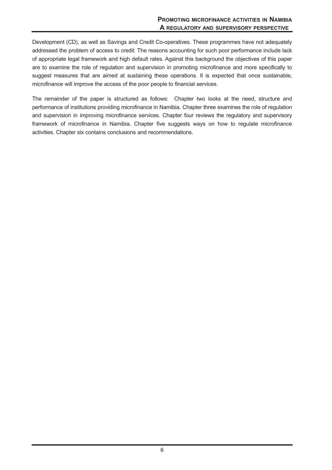Development (CD), as well as Savings and Credit Co-operatives. These programmes have not adequately addressed the problem of access to credit. The reasons accounting for such poor performance include lack of appropriate legal framework and high default rates. Against this background the objectives of this paper are to examine the role of regulation and supervision in promoting microfinance and more specifically to suggest measures that are aimed at sustaining these operations. It is expected that once sustainable, microfinance will improve the access of the poor people to financial services.

The remainder of the paper is structured as follows: Chapter two looks at the need, structure and performance of institutions providing microfinance in Namibia. Chapter three examines the role of regulation and supervision in improving microfinance services. Chapter four reviews the regulatory and supervisory framework of microfinance in Namibia. Chapter five suggests ways on how to regulate microfinance activities. Chapter six contains conclusions and recommendations.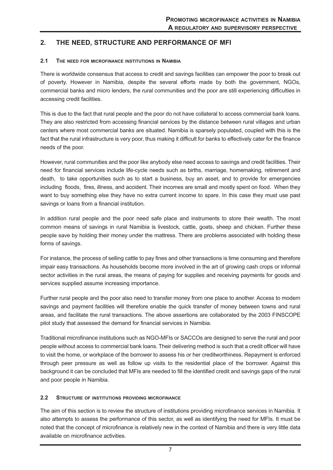## **2. THE NEED, STRUCTURE AND PERFORMANCE OF MFI**

#### **2.1 THE NEED FOR MICROFINANCE INSTITUTIONS IN NAMIBIA**

There is worldwide consensus that access to credit and savings facilities can empower the poor to break out of poverty. However in Namibia, despite the several efforts made by both the government, NGOs, commercial banks and micro lenders, the rural communities and the poor are still experiencing difficulties in accessing credit facilities.

This is due to the fact that rural people and the poor do not have collateral to access commercial bank loans. They are also restricted from accessing financial services by the distance between rural villages and urban centers where most commercial banks are situated. Namibia is sparsely populated, coupled with this is the fact that the rural infrastructure is very poor, thus making it difficult for banks to effectively cater for the finance needs of the poor.

However, rural communities and the poor like anybody else need access to savings and credit facilities. Their need for financial services include life-cycle needs such as births, marriage, homemaking, retirement and death, to take opportunities such as to start a business, buy an asset, and to provide for emergencies including floods, fires, illness, and accident. Their incomes are small and mostly spent on food. When they want to buy something else they have no extra current income to spare. In this case they must use past savings or loans from a financial institution.

In addition rural people and the poor need safe place and instruments to store their wealth. The most common means of savings in rural Namibia is livestock, cattle, goats, sheep and chicken. Further these people save by holding their money under the mattress. There are problems associated with holding these forms of savings.

For instance, the process of selling cattle to pay fines and other transactions is time consuming and therefore impair easy transactions. As households become more involved in the art of growing cash crops or informal sector activities in the rural areas, the means of paying for supplies and receiving payments for goods and services supplied assume increasing importance.

Further rural people and the poor also need to transfer money from one place to another. Access to modern savings and payment facilities will therefore enable the quick transfer of money between towns and rural areas, and facilitate the rural transactions. The above assertions are collaborated by the 2003 FINSCOPE pilot study that assessed the demand for financial services in Namibia.

Traditional microfinance institutions such as NGO-MFIs or SACCOs are designed to serve the rural and poor people without access to commercial bank loans. Their delivering method is such that a credit officer will have to visit the home, or workplace of the borrower to assess his or her creditworthiness. Repayment is enforced through peer pressure as well as follow up visits to the residential place of the borrower. Against this background it can be concluded that MFIs are needed to fill the identified credit and savings gaps of the rural and poor people in Namibia.

#### **2.2 STRUCTURE OF INSTITUTIONS PROVIDING MICROFINANCE**

The aim of this section is to review the structure of institutions providing microfinance services in Namibia. It also attempts to assess the performance of this sector, as well as identifying the need for MFIs. It must be noted that the concept of microfinance is relatively new in the context of Namibia and there is very little data available on microfinance activities.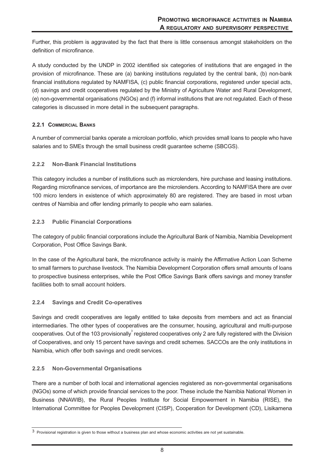Further, this problem is aggravated by the fact that there is little consensus amongst stakeholders on the definition of microfinance.

A study conducted by the UNDP in 2002 identified six categories of institutions that are engaged in the provision of microfinance. These are (a) banking institutions regulated by the central bank, (b) non-bank financial institutions regulated by NAMFISA, (c) public financial corporations, registered under special acts, (d) savings and credit cooperatives regulated by the Ministry of Agriculture Water and Rural Development, (e) non-governmental organisations (NGOs) and (f) informal institutions that are not regulated. Each of these categories is discussed in more detail in the subsequent paragraphs.

#### **2.2.1 COMMERCIAL BANKS**

A number of commercial banks operate a microloan portfolio, which provides small loans to people who have salaries and to SMEs through the small business credit guarantee scheme (SBCGS).

#### **2.2.2 Non-Bank Financial Institutions**

This category includes a number of institutions such as microlenders, hire purchase and leasing institutions. Regarding microfinance services, of importance are the microlenders. According to NAMFISA there are over 100 micro lenders in existence of which approximately 80 are registered. They are based in most urban centres of Namibia and offer lending primarily to people who earn salaries.

#### **2.2.3 Public Financial Corporations**

The category of public financial corporations include the Agricultural Bank of Namibia, Namibia Development Corporation, Post Office Savings Bank.

In the case of the Agricultural bank, the microfinance activity is mainly the Affirmative Action Loan Scheme to small farmers to purchase livestock. The Namibia Development Corporation offers small amounts of loans to prospective business enterprises, while the Post Office Savings Bank offers savings and money transfer facilities both to small account holders.

#### **2.2.4 Savings and Credit Co-operatives**

Savings and credit cooperatives are legally entitled to take deposits from members and act as financial intermediaries. The other types of cooperatives are the consumer, housing, agricultural and multi-purpose cooperatives. Out of the 103 provisionally registered cooperatives only 2 are fully registered with the Division of Cooperatives, and only 15 percent have savings and credit schemes. SACCOs are the only institutions in Namibia, which offer both savings and credit services.

#### **2.2.5 Non-Governmental Organisations**

There are a number of both local and international agencies registered as non-governmental organisations (NGOs) some of which provide financial services to the poor. These include the Namibia National Women in Business (NNAWIB), the Rural Peoples Institute for Social Empowerment in Namibia (RISE), the International Committee for Peoples Development (CISP), Cooperation for Development (CD), Lisikamena

<sup>3</sup> Provisional registration is given to those without a business plan and whose economic activities are not yet sustainable.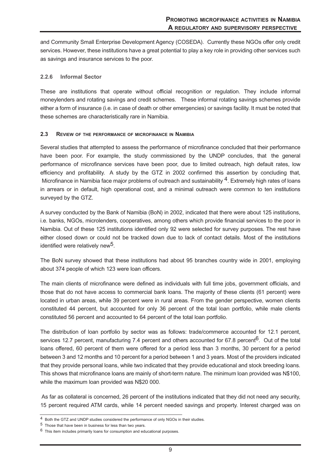and Community Small Enterprise Development Agency (COSEDA). Currently these NGOs offer only credit services. However, these institutions have a great potential to play a key role in providing other services such as savings and insurance services to the poor.

#### **2.2.6 Informal Sector**

These are institutions that operate without official recognition or regulation. They include informal moneylenders and rotating savings and credit schemes. These informal rotating savings schemes provide either a form of insurance (i.e. in case of death or other emergencies) or savings facility. It must be noted that these schemes are characteristically rare in Namibia.

#### **2.3 REVIEW OF THE PERFORMANCE OF MICROFINANCE IN NAMIBIA**

Several studies that attempted to assess the performance of microfinance concluded that their performance have been poor. For example, the study commissioned by the UNDP concludes, that the general performance of microfinance services have been poor, due to limited outreach, high default rates, low efficiency and profitability. A study by the GTZ in 2002 confirmed this assertion by concluding that, Microfinance in Namibia face major problems of outreach and sustainability <sup>4</sup>. Extremely high rates of loans in arrears or in default, high operational cost, and a minimal outreach were common to ten institutions surveyed by the GTZ.

A survey conducted by the Bank of Namibia (BoN) in 2002, indicated that there were about 125 institutions, i.e. banks, NGOs, microlenders, cooperatives, among others which provide financial services to the poor in Namibia. Out of these 125 institutions identified only 92 were selected for survey purposes. The rest have either closed down or could not be tracked down due to lack of contact details. Most of the institutions identified were relatively new<sup>5</sup>.

The BoN survey showed that these institutions had about 95 branches country wide in 2001, employing about 374 people of which 123 were loan officers.

The main clients of microfinance were defined as individuals with full time jobs, government officials, and those that do not have access to commercial bank loans. The majority of these clients (61 percent) were located in urban areas, while 39 percent were in rural areas. From the gender perspective, women clients constituted 44 percent, but accounted for only 36 percent of the total loan portfolio, while male clients constituted 56 percent and accounted to 64 percent of the total loan portfolio.

The distribution of loan portfolio by sector was as follows: trade/commerce accounted for 12.1 percent, services 12.7 percent, manufacturing 7.4 percent and others accounted for 67.8 percent<sup>6</sup>. Out of the total loans offered, 60 percent of them were offered for a period less than 3 months, 30 percent for a period between 3 and 12 months and 10 percent for a period between 1 and 3 years. Most of the providers indicated that they provide personal loans, while two indicated that they provide educational and stock breeding loans. This shows that microfinance loans are mainly of short-term nature. The minimum loan provided was N\$100, while the maximum loan provided was N\$20 000.

As far as collateral is concerned, 26 percent of the institutions indicated that they did not need any security, 15 percent required ATM cards, while 14 percent needed savings and property. Interest charged was on

<sup>4</sup> Both the GTZ and UNDP studies considered the performance of only NGOs in their studies.

<sup>5</sup> Those that have been in business for less than two years.

 $6$  This item includes primarily loans for consumption and educational purposes.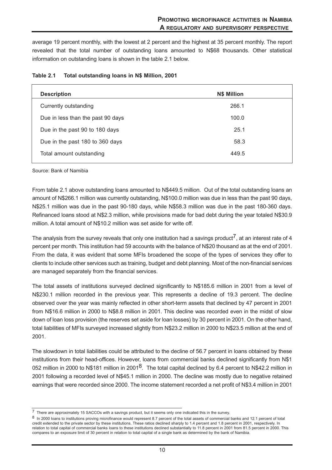average 19 percent monthly, with the lowest at 2 percent and the highest at 35 percent monthly. The report revealed that the total number of outstanding loans amounted to N\$68 thousands. Other statistical information on outstanding loans is shown in the table 2.1 below.

| <b>Description</b>                | <b>N\$ Million</b> |
|-----------------------------------|--------------------|
| Currently outstanding             | 266.1              |
| Due in less than the past 90 days | 100.0              |
| Due in the past 90 to 180 days    | 25.1               |
| Due in the past 180 to 360 days   | 58.3               |
| Total amount outstanding          | 449.5              |

#### **Table 2.1 Total outstanding loans in N\$ Million, 2001**

Source: Bank of Namibia

From table 2.1 above outstanding loans amounted to N\$449.5 million. Out of the total outstanding loans an amount of N\$266.1 million was currently outstanding, N\$100.0 million was due in less than the past 90 days, N\$25.1 million was due in the past 90-180 days, while N\$58.3 million was due in the past 180-360 days. Refinanced loans stood at N\$2.3 million, while provisions made for bad debt during the year totaled N\$30.9 million. A total amount of N\$10.2 million was set aside for write off.

The analysis from the survey reveals that only one institution had a savings product<sup>7</sup>, at an interest rate of 4 percent per month. This institution had 59 accounts with the balance of N\$20 thousand as at the end of 2001. From the data, it was evident that some MFIs broadened the scope of the types of services they offer to clients to include other services such as training, budget and debt planning. Most of the non-financial services are managed separately from the financial services.

The total assets of institutions surveyed declined significantly to N\$185.6 million in 2001 from a level of N\$230.1 million recorded in the previous year. This represents a decline of 19.3 percent. The decline observed over the year was mainly reflected in other short-term assets that declined by 47 percent in 2001 from N\$16.6 million in 2000 to N\$8.8 million in 2001. This decline was recorded even in the midst of slow down of loan loss provision (the reserves set aside for loan losses) by 30 percent in 2001. On the other hand, total liabilities of MFIs surveyed increased slightly from N\$23.2 million in 2000 to N\$23.5 million at the end of 2001.

The slowdown in total liabilities could be attributed to the decline of 56.7 percent in loans obtained by these institutions from their head-offices. However, loans from commercial banks declined significantly from N\$1 052 million in 2000 to N\$181 million in 2001<sup>8</sup>. The total capital declined by 6.4 percent to N\$42.2 million in 2001 following a recorded level of N\$45.1 million in 2000. The decline was mostly due to negative retained earnings that were recorded since 2000. The income statement recorded a net profit of N\$3.4 million in 2001

<sup>7</sup> There are approximately 15 SACCOs with a savings product, but it seems only one indicated this in the survey.

<sup>8</sup> In 2000 loans to institutions proving microfinance would represent 8.7 percent of the total assets of commercial banks and 12.1 percent of total credit extended to the private sector by these institutions. These ratios declined sharply to 1.4 percent and 1.8 percent in 2001, respectively. In relation to total capital of commercial banks loans to these institutions declined substantially to 11.8 percent in 2001 from 81.5 percent in 2000. This compares to an exposure limit of 30 percent in relation to total capital of a single bank as determined by the bank of Namibia.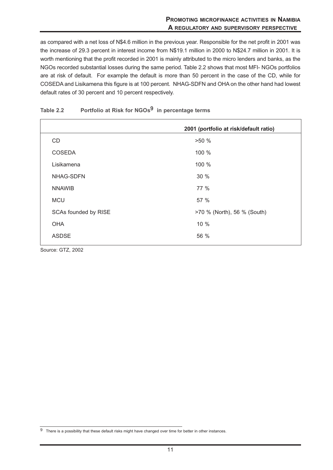as compared with a net loss of N\$4.6 million in the previous year. Responsible for the net profit in 2001 was the increase of 29.3 percent in interest income from N\$19.1 million in 2000 to N\$24.7 million in 2001. It is worth mentioning that the profit recorded in 2001 is mainly attributed to the micro lenders and banks, as the NGOs recorded substantial losses during the same period. Table 2.2 shows that most MFI- NGOs portfolios are at risk of default. For example the default is more than 50 percent in the case of the CD, while for COSEDA and Lisikamena this figure is at 100 percent. NHAG-SDFN and OHA on the other hand had lowest default rates of 30 percent and 10 percent respectively.

|                      | 2001 (portfolio at risk/default ratio) |
|----------------------|----------------------------------------|
| <b>CD</b>            | >50%                                   |
| <b>COSEDA</b>        | 100 %                                  |
| Lisikamena           | 100 %                                  |
| NHAG-SDFN            | 30 %                                   |
| <b>NNAWIB</b>        | 77 %                                   |
| <b>MCU</b>           | 57 %                                   |
| SCAs founded by RISE | >70 % (North), 56 % (South)            |
| <b>OHA</b>           | 10 %                                   |
| <b>ASDSE</b>         | 56 %                                   |

## **Table 2.2 Portfolio at Risk for NGOs9 in percentage terms**

Source: GTZ, 2002

<sup>&</sup>lt;sup>9</sup> There is a possibility that these default risks might have changed over time for better in other instances.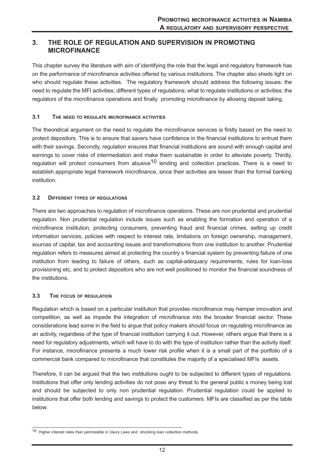## **3. THE ROLE OF REGULATION AND SUPERVISION IN PROMOTING MICROFINANCE**

This chapter survey the literature with aim of identifying the role that the legal and regulatory framework has on the performance of microfinance activities offered by various institutions. The chapter also sheds light on who should regulate these activities. The regulatory framework should address the following issues: the need to regulate the MFI activities; different types of regulations; what to regulate institutions or activities; the regulators of the microfinance operations and finally promoting microfinance by allowing deposit taking.

#### **3.1 THE NEED TO REGULATE MICROFINANCE ACTIVITIES**

The theoretical argument on the need to regulate the microfinance services is firstly based on the need to protect depositors. This is to ensure that savers have confidence in the financial institutions to entrust them with their savings. Secondly, regulation ensures that financial institutions are sound with enough capital and earnings to cover risks of intermediation and make them sustainable in order to alleviate poverty. Thirdly, regulation will protect consumers from abusive<sup>10</sup> lending and collection practices. There is a need to establish appropriate legal framework microfinance, since their activities are lesser than the formal banking institution.

#### **3.2 DIFFERENT TYPES OF REGULATIONS**

There are two approaches to regulation of microfinance operations. These are non prudential and prudential regulation. Non prudential regulation include issues such as enabling the formation and operation of a microfinance institution, protecting consumers, preventing fraud and financial crimes, setting up credit information services, policies with respect to interest rate, limitations on foreign ownership, management, sources of capital, tax and accounting issues and transformations from one institution to another. Prudential regulation refers to measures aimed at protecting the country s financial system by preventing failure of one institution from leading to failure of others, such as capital-adequacy requirements, rules for loan-loss provisioning etc, and to protect depositors who are not well positioned to monitor the financial soundness of the institutions.

#### **3.3 THE FOCUS OF REGULATION**

Regulation which is based on a particular institution that provides microfinance may hamper innovation and competition, as well as impede the integration of microfinance into the broader financial sector. These considerations lead some in the field to argue that policy makers should focus on regulating microfinance as an activity, regardless of the type of financial institution carrying it out. However, others argue that there is a need for regulatory adjustments, which will have to do with the type of institution rather than the activity itself. For instance, microfinance presents a much lower risk profile when it is a small part of the portfolio of a commercial bank compared to microfinance that constitutes the majority of a specialised MFIs assets.

Therefore, it can be argued that the two institutions ought to be subjected to different types of regulations. Institutions that offer only lending activities do not pose any threat to the general public s money being lost and should be subjected to only non prudential regulation. Prudential regulation could be applied to institutions that offer both lending and savings to protect the customers. MFIs are classified as per the table below.

<sup>10</sup> Higher interest rates than permissible in Usury Laws and shocking loan collection methods.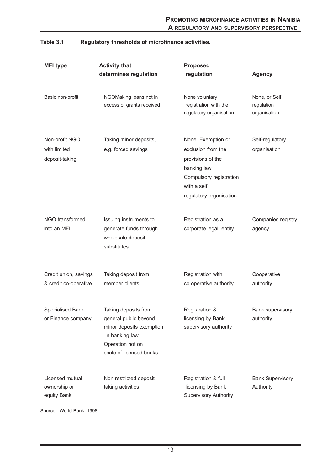| <b>MFI</b> type                                  | <b>Activity that</b><br>determines regulation                                                                                               | <b>Proposed</b><br>regulation                                                                                                                      | <b>Agency</b>                               |
|--------------------------------------------------|---------------------------------------------------------------------------------------------------------------------------------------------|----------------------------------------------------------------------------------------------------------------------------------------------------|---------------------------------------------|
| Basic non-profit                                 | NGOMaking loans not in<br>excess of grants received                                                                                         | None voluntary<br>registration with the<br>regulatory organisation                                                                                 | None, or Self<br>regulation<br>organisation |
| Non-profit NGO<br>with limited<br>deposit-taking | Taking minor deposits,<br>e.g. forced savings                                                                                               | None. Exemption or<br>exclusion from the<br>provisions of the<br>banking law.<br>Compulsory registration<br>with a self<br>regulatory organisation | Self-regulatory<br>organisation             |
| NGO transformed<br>into an MFI                   | Issuing instruments to<br>generate funds through<br>wholesale deposit<br>substitutes                                                        | Registration as a<br>corporate legal entity                                                                                                        | Companies registry<br>agency                |
| Credit union, savings<br>& credit co-operative   | Taking deposit from<br>member clients.                                                                                                      | Registration with<br>co operative authority                                                                                                        | Cooperative<br>authority                    |
| <b>Specialised Bank</b><br>or Finance company    | Taking deposits from<br>general public beyond<br>minor deposits exemption<br>in banking law.<br>Operation not on<br>scale of licensed banks | Registration &<br>licensing by Bank<br>supervisory authority                                                                                       | Bank supervisory<br>authority               |
| Licensed mutual<br>ownership or<br>equity Bank   | Non restricted deposit<br>taking activities                                                                                                 | Registration & full<br>licensing by Bank<br><b>Supervisory Authority</b>                                                                           | <b>Bank Supervisory</b><br>Authority        |

## **Table 3.1 Regulatory thresholds of microfinance activities.**

Source : World Bank, 1998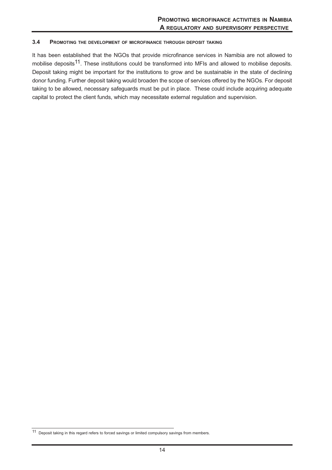#### **3.4 PROMOTING THE DEVELOPMENT OF MICROFINANCE THROUGH DEPOSIT TAKING**

It has been established that the NGOs that provide microfinance services in Namibia are not allowed to mobilise deposits<sup>11</sup>. These institutions could be transformed into MFIs and allowed to mobilise deposits. Deposit taking might be important for the institutions to grow and be sustainable in the state of declining donor funding. Further deposit taking would broaden the scope of services offered by the NGOs. For deposit taking to be allowed, necessary safeguards must be put in place. These could include acquiring adequate capital to protect the client funds, which may necessitate external regulation and supervision.

<sup>11</sup> Deposit taking in this regard refers to forced savings or limited compulsory savings from members.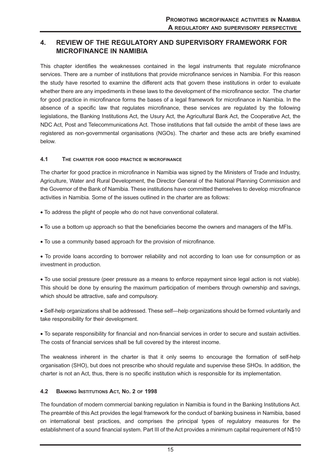## **4. REVIEW OF THE REGULATORY AND SUPERVISORY FRAMEWORK FOR MICROFINANCE IN NAMIBIA**

This chapter identifies the weaknesses contained in the legal instruments that regulate microfinance services. There are a number of institutions that provide microfinance services in Namibia. For this reason the study have resorted to examine the different acts that govern these institutions in order to evaluate whether there are any impediments in these laws to the development of the microfinance sector. The charter for good practice in microfinance forms the bases of a legal framework for microfinance in Namibia. In the absence of a specific law that regulates microfinance, these services are regulated by the following legislations, the Banking Institutions Act, the Usury Act, the Agricultural Bank Act, the Cooperative Act, the NDC Act, Post and Telecommunications Act. Those institutions that fall outside the ambit of these laws are registered as non-governmental organisations (NGOs). The charter and these acts are briefly examined below.

#### **4.1 THE CHARTER FOR GOOD PRACTICE IN MICROFINANCE**

The charter for good practice in microfinance in Namibia was signed by the Ministers of Trade and Industry, Agriculture, Water and Rural Development, the Director General of the National Planning Commission and the Governor of the Bank of Namibia. These institutions have committed themselves to develop microfinance activities in Namibia. Some of the issues outlined in the charter are as follows:

- To address the plight of people who do not have conventional collateral.
- To use a bottom up approach so that the beneficiaries become the owners and managers of the MFIs.
- To use a community based approach for the provision of microfinance.

• To provide loans according to borrower reliability and not according to loan use for consumption or as investment in production.

• To use social pressure (peer pressure as a means to enforce repayment since legal action is not viable). This should be done by ensuring the maximum participation of members through ownership and savings, which should be attractive, safe and compulsory.

• Self-help organizations shall be addressed. These self—help organizations should be formed voluntarily and take responsibility for their development.

• To separate responsibility for financial and non-financial services in order to secure and sustain activities. The costs of financial services shall be full covered by the interest income.

The weakness inherent in the charter is that it only seems to encourage the formation of self-help organisation (SHO), but does not prescribe who should regulate and supervise these SHOs. In addition, the charter is not an Act, thus, there is no specific institution which is responsible for its implementation.

#### **4.2 BANKING INSTITUTIONS ACT, NO. 2 OF 1998**

The foundation of modern commercial banking regulation in Namibia is found in the Banking Institutions Act. The preamble of this Act provides the legal framework for the conduct of banking business in Namibia, based on international best practices, and comprises the principal types of regulatory measures for the establishment of a sound financial system. Part III of the Act provides a minimum capital requirement of N\$10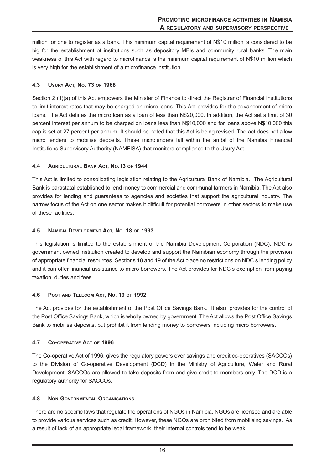million for one to register as a bank. This minimum capital requirement of N\$10 million is considered to be big for the establishment of institutions such as depository MFIs and community rural banks. The main weakness of this Act with regard to microfinance is the minimum capital requirement of N\$10 million which is very high for the establishment of a microfinance institution.

#### **4.3 USURY ACT, NO. 73 OF 1968**

Section 2 (1)(a) of this Act empowers the Minister of Finance to direct the Registrar of Financial Institutions to limit interest rates that may be charged on micro loans. This Act provides for the advancement of micro loans. The Act defines the micro loan as a loan of less than N\$20,000. In addition, the Act set a limit of 30 percent interest per annum to be charged on loans less than N\$10,000 and for loans above N\$10,000 this cap is set at 27 percent per annum. It should be noted that this Act is being revised. The act does not allow micro lenders to mobilise deposits. These microlenders fall within the ambit of the Namibia Financial Institutions Supervisory Authority (NAMFISA) that monitors compliance to the Usury Act.

#### **4.4 AGRICULTURAL BANK ACT, NO.13 OF 1944**

This Act is limited to consolidating legislation relating to the Agricultural Bank of Namibia. The Agricultural Bank is parastatal established to lend money to commercial and communal farmers in Namibia. The Act also provides for lending and guarantees to agencies and societies that support the agricultural industry. The narrow focus of the Act on one sector makes it difficult for potential borrowers in other sectors to make use of these facilities.

#### **4.5 NAMIBIA DEVELOPMENT ACT, NO. 18 OF 1993**

This legislation is limited to the establishment of the Namibia Development Corporation (NDC). NDC is government owned institution created to develop and support the Namibian economy through the provision of appropriate financial resources. Sections 18 and 19 of the Act place no restrictions on NDC s lending policy and it can offer financial assistance to micro borrowers. The Act provides for NDC s exemption from paying taxation, duties and fees.

#### **4.6 POST AND TELECOM ACT, NO. 19 OF 1992**

The Act provides for the establishment of the Post Office Savings Bank. It also provides for the control of the Post Office Savings Bank, which is wholly owned by government. The Act allows the Post Office Savings Bank to mobilise deposits, but prohibit it from lending money to borrowers including micro borrowers.

#### **4.7 CO-OPERATIVE ACT OF 1996**

The Co-operative Act of 1996, gives the regulatory powers over savings and credit co-operatives (SACCOs) to the Division of Co-operative Development (DCD) in the Ministry of Agriculture, Water and Rural Development. SACCOs are allowed to take deposits from and give credit to members only. The DCD is a regulatory authority for SACCOs.

#### **4.8 NON-GOVERNMENTAL ORGANISATIONS**

There are no specific laws that regulate the operations of NGOs in Namibia. NGOs are licensed and are able to provide various services such as credit. However, these NGOs are prohibited from mobilising savings. As a result of lack of an appropriate legal framework, their internal controls tend to be weak.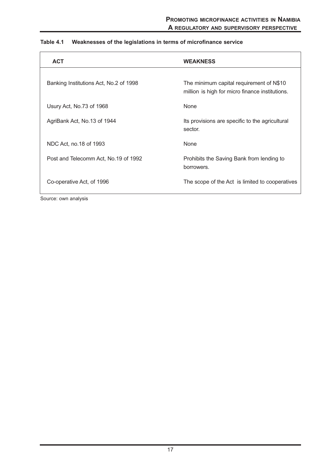| <b>ACT</b>                             | <b>WEAKNESS</b>                                                                             |
|----------------------------------------|---------------------------------------------------------------------------------------------|
| Banking Institutions Act, No.2 of 1998 | The minimum capital requirement of N\$10<br>million is high for micro finance institutions. |
| Usury Act, No.73 of 1968               | None                                                                                        |
| AgriBank Act, No.13 of 1944            | Its provisions are specific to the agricultural<br>sector.                                  |
| NDC Act, no.18 of 1993                 | None                                                                                        |
| Post and Telecomm Act, No.19 of 1992   | Prohibits the Saving Bank from lending to<br>borrowers.                                     |
| Co-operative Act, of 1996              | The scope of the Act is limited to cooperatives                                             |

## **Table 4.1 Weaknesses of the legislations in terms of microfinance service**

Source: own analysis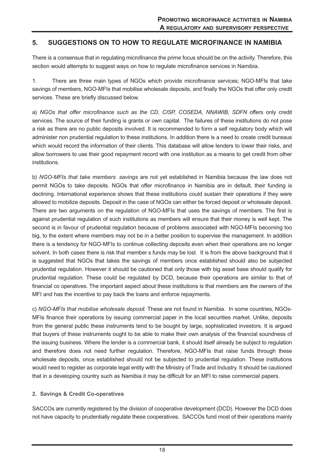## **5. SUGGESTIONS ON TO HOW TO REGULATE MICROFINANCE IN NAMIBIA**

There is a consensus that in regulating microfinance the prime focus should be on the activity. Therefore, this section would attempts to suggest ways on how to regulate microfinance services in Namibia.

1. There are three main types of NGOs which provide microfinance services; NGO-MFIs that take savings of members, NGO-MFIs that mobilise wholesale deposits, and finally the NGOs that offer only credit services. These are briefly discussed below.

a) *NGOs that offer microfinance such as the CD, CISP, COSEDA, NNAWIB, SDFN* offers only credit services. The source of their funding is grants or own capital. The failures of these institutions do not pose a risk as there are no public deposits involved. It is recommended to form a self regulatory body which will administer non prudential regulation to these institutions. In addition there is a need to create credit bureaus which would record the information of their clients. This database will allow lenders to lower their risks, and allow borrowers to use their good repayment record with one institution as a means to get credit from other institutions.

b) *NGO-MFIs that take members savings* are not yet established in Namibia because the law does not permit NGOs to take deposits. NGOs that offer microfinance in Namibia are in default, their funding is declining. International experience shows that these institutions could sustain their operations if they were allowed to mobilize deposits. Deposit in the case of NGOs can either be forced deposit or wholesale deposit. There are two arguments on the regulation of NGO-MFIs that uses the savings of members. The first is against prudential regulation of such institutions as members will ensure that their money is well kept. The second is in favour of prudential regulation because of problems associated with NGO-MFIs becoming too big, to the extent where members may not be in a better position to supervise the management. In addition there is a tendency for NGO-MFIs to continue collecting deposits even when their operations are no longer solvent. In both cases there is risk that member s funds may be lost. It is from the above background that it is suggested that NGOs that takes the savings of members once established should also be subjected prudential regulation. However it should be cautioned that only those with big asset base should qualify for prudential regulation. These could be regulated by DCD, because their operations are similar to that of financial co operatives. The important aspect about these institutions is that members are the owners of the MFI and has the incentive to pay back the loans and enforce repayments.

c) *NGO-MFIs that mobilise wholesale deposit.* These are not found in Namibia. In some countries, NGOs-MFIs finance their operations by issuing commercial paper in the local securities market. Unlike, deposits from the general public these instruments tend to be bought by large, sophisticated investors. It is argued that buyers of these instruments ought to be able to make their own analysis of the financial soundness of the issuing business. Where the lender is a commercial bank, it should itself already be subject to regulation and therefore does not need further regulation. Therefore, NGO-MFIs that raise funds through these wholesale deposits, once established should not be subjected to prudential regulation. These institutions would need to register as corporate legal entity with the Ministry of Trade and Industry. It should be cautioned that in a developing country such as Namibia it may be difficult for an MFI to raise commercial papers.

#### **2. Savings & Credit Co-operatives**

SACCOs are currently registered by the division of cooperative development (DCD). However the DCD does not have capacity to prudentially regulate these cooperatives. SACCOs fund most of their operations mainly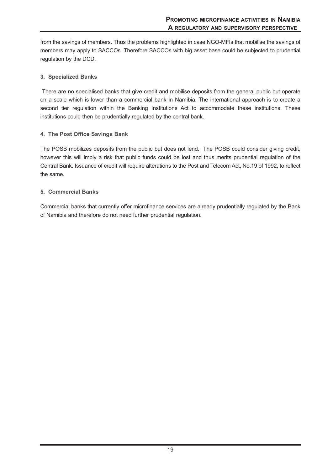from the savings of members. Thus the problems highlighted in case NGO-MFIs that mobilise the savings of members may apply to SACCOs. Therefore SACCOs with big asset base could be subjected to prudential regulation by the DCD.

#### **3. Specialized Banks**

There are no specialised banks that give credit and mobilise deposits from the general public but operate on a scale which is lower than a commercial bank in Namibia. The international approach is to create a second tier regulation within the Banking Institutions Act to accommodate these institutions. These institutions could then be prudentially regulated by the central bank.

#### **4. The Post Office Savings Bank**

The POSB mobilizes deposits from the public but does not lend. The POSB could consider giving credit, however this will imply a risk that public funds could be lost and thus merits prudential regulation of the Central Bank. Issuance of credit will require alterations to the Post and Telecom Act, No.19 of 1992, to reflect the same.

#### **5. Commercial Banks**

Commercial banks that currently offer microfinance services are already prudentially regulated by the Bank of Namibia and therefore do not need further prudential regulation.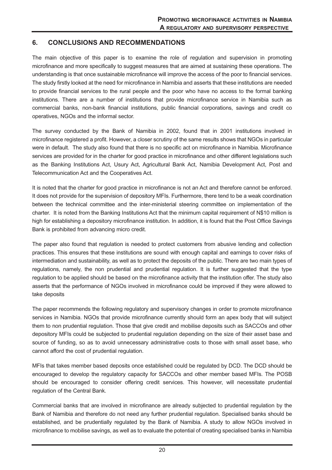## **6. CONCLUSIONS AND RECOMMENDATIONS**

The main objective of this paper is to examine the role of regulation and supervision in promoting microfinance and more specifically to suggest measures that are aimed at sustaining these operations. The understanding is that once sustainable microfinance will improve the access of the poor to financial services. The study firstly looked at the need for microfinance in Namibia and asserts that these institutions are needed to provide financial services to the rural people and the poor who have no access to the formal banking institutions. There are a number of institutions that provide microfinance service in Namibia such as commercial banks, non-bank financial institutions, public financial corporations, savings and credit co operatives, NGOs and the informal sector.

The survey conducted by the Bank of Namibia in 2002, found that in 2001 institutions involved in microfinance registered a profit. However, a closer scrutiny of the same results shows that NGOs in particular were in default. The study also found that there is no specific act on microfinance in Namibia. Microfinance services are provided for in the charter for good practice in microfinance and other different legislations such as the Banking Institutions Act, Usury Act, Agricultural Bank Act, Namibia Development Act, Post and Telecommunication Act and the Cooperatives Act.

It is noted that the charter for good practice in microfinance is not an Act and therefore cannot be enforced. It does not provide for the supervision of depository MFIs. Furthermore, there tend to be a weak coordination between the technical committee and the inter-ministerial steering committee on implementation of the charter. It is noted from the Banking Institutions Act that the minimum capital requirement of N\$10 million is high for establishing a depository microfinance institution. In addition, it is found that the Post Office Savings Bank is prohibited from advancing micro credit.

The paper also found that regulation is needed to protect customers from abusive lending and collection practices. This ensures that these institutions are sound with enough capital and earnings to cover risks of intermediation and sustainability, as well as to protect the deposits of the public. There are two main types of regulations, namely, the non prudential and prudential regulation. It is further suggested that the type regulation to be applied should be based on the microfinance activity that the institution offer. The study also asserts that the performance of NGOs involved in microfinance could be improved if they were allowed to take deposits

The paper recommends the following regulatory and supervisory changes in order to promote microfinance services in Namibia. NGOs that provide microfinance currently should form an apex body that will subject them to non prudential regulation. Those that give credit and mobilise deposits such as SACCOs and other depository MFIs could be subjected to prudential regulation depending on the size of their asset base and source of funding, so as to avoid unnecessary administrative costs to those with small asset base, who cannot afford the cost of prudential regulation.

MFIs that takes member based deposits once established could be regulated by DCD. The DCD should be encouraged to develop the regulatory capacity for SACCOs and other member based MFIs. The POSB should be encouraged to consider offering credit services. This however, will necessitate prudential regulation of the Central Bank.

Commercial banks that are involved in microfinance are already subjected to prudential regulation by the Bank of Namibia and therefore do not need any further prudential regulation. Specialised banks should be established, and be prudentially regulated by the Bank of Namibia. A study to allow NGOs involved in microfinance to mobilise savings, as well as to evaluate the potential of creating specialised banks in Namibia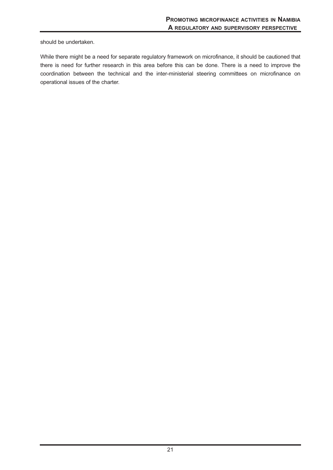should be undertaken.

While there might be a need for separate regulatory framework on microfinance, it should be cautioned that there is need for further research in this area before this can be done. There is a need to improve the coordination between the technical and the inter-ministerial steering committees on microfinance on operational issues of the charter.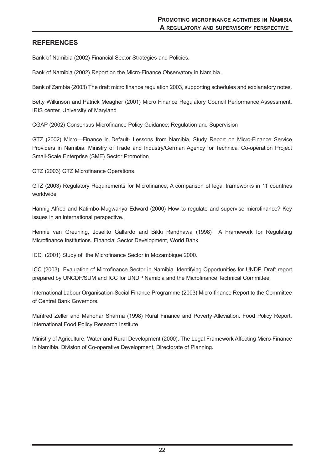## **REFERENCES**

Bank of Namibia (2002) Financial Sector Strategies and Policies.

Bank of Namibia (2002) Report on the Micro-Finance Observatory in Namibia.

Bank of Zambia (2003) The draft micro finance regulation 2003, supporting schedules and explanatory notes.

Betty Wilkinson and Patrick Meagher (2001) Micro Finance Regulatory Council Performance Assessment. IRIS center, University of Maryland

CGAP (2002) Consensus Microfinance Policy Guidance: Regulation and Supervision

GTZ (2002) Micro—Finance in Default- Lessons from Namibia, Study Report on Micro-Finance Service Providers in Namibia. Ministry of Trade and Industry/German Agency for Technical Co-operation Project Small-Scale Enterprise (SME) Sector Promotion

GTZ (2003) GTZ Microfinance Operations

GTZ (2003) Regulatory Requirements for Microfinance, A comparison of legal frameworks in 11 countries worldwide

Hannig Alfred and Katimbo-Mugwanya Edward (2000) How to regulate and supervise microfinance? Key issues in an international perspective.

Hennie van Greuning, Joselito Gallardo and Bikki Randhawa (1998) A Framework for Regulating Microfinance Institutions. Financial Sector Development, World Bank

ICC (2001) Study of the Microfinance Sector in Mozambique 2000.

ICC (2003) Evaluation of Microfinance Sector in Namibia. Identifying Opportunities for UNDP. Draft report prepared by UNCDF/SUM and ICC for UNDP Namibia and the Microfinance Technical Committee

International Labour Organisation-Social Finance Programme (2003) Micro-finance Report to the Committee of Central Bank Governors.

Manfred Zeller and Manohar Sharma (1998) Rural Finance and Poverty Alleviation. Food Policy Report. International Food Policy Research Institute

Ministry of Agriculture, Water and Rural Development (2000). The Legal Framework Affecting Micro-Finance in Namibia. Division of Co-operative Development, Directorate of Planning.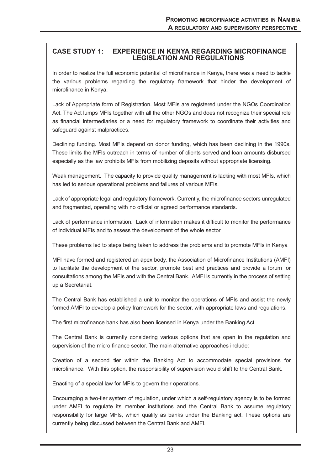## **CASE STUDY 1: EXPERIENCE IN KENYA REGARDING MICROFINANCE LEGISLATION AND REGULATIONS**

In order to realize the full economic potential of microfinance in Kenya, there was a need to tackle the various problems regarding the regulatory framework that hinder the development of microfinance in Kenya.

Lack of Appropriate form of Registration. Most MFIs are registered under the NGOs Coordination Act. The Act lumps MFIs together with all the other NGOs and does not recognize their special role as financial intermediaries or a need for regulatory framework to coordinate their activities and safeguard against malpractices.

Declining funding. Most MFIs depend on donor funding, which has been declining in the 1990s. These limits the MFIs outreach in terms of number of clients served and loan amounts disbursed especially as the law prohibits MFIs from mobilizing deposits without appropriate licensing.

Weak management. The capacity to provide quality management is lacking with most MFIs, which has led to serious operational problems and failures of various MFIs.

Lack of appropriate legal and regulatory framework. Currently, the microfinance sectors unregulated and fragmented, operating with no official or agreed performance standards.

Lack of performance information. Lack of information makes it difficult to monitor the performance of individual MFIs and to assess the development of the whole sector

These problems led to steps being taken to address the problems and to promote MFIs in Kenya

MFI have formed and registered an apex body, the Association of Microfinance Institutions (AMFI) to facilitate the development of the sector, promote best and practices and provide a forum for consultations among the MFIs and with the Central Bank. AMFI is currently in the process of setting up a Secretariat.

The Central Bank has established a unit to monitor the operations of MFIs and assist the newly formed AMFI to develop a policy framework for the sector, with appropriate laws and regulations.

The first microfinance bank has also been licensed in Kenya under the Banking Act.

The Central Bank is currently considering various options that are open in the regulation and supervision of the micro finance sector. The main alternative approaches include:

Creation of a second tier within the Banking Act to accommodate special provisions for microfinance. With this option, the responsibility of supervision would shift to the Central Bank.

Enacting of a special law for MFIs to govern their operations.

Encouraging a two-tier system of regulation, under which a self-regulatory agency is to be formed under AMFI to regulate its member institutions and the Central Bank to assume regulatory responsibility for large MFIs, which qualify as banks under the Banking act. These options are currently being discussed between the Central Bank and AMFI.